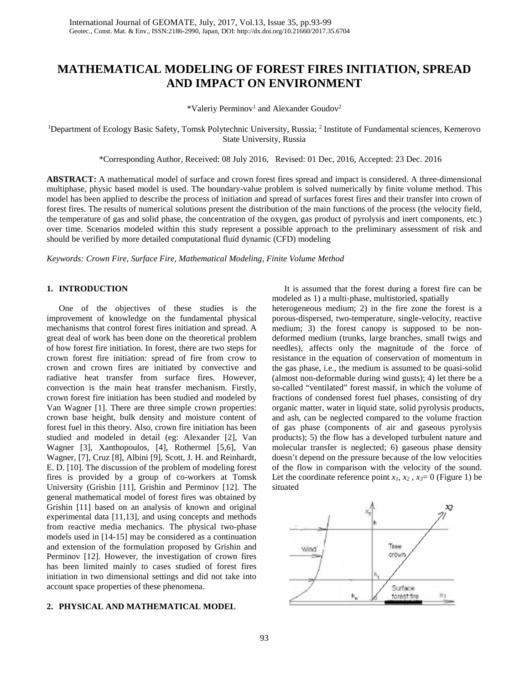# **MATHEMATICAL MODELING OF FOREST FIRES INITIATION, SPREAD AND IMPACT ON ENVIRONMENT**

\*Valeriy Perminov<sup>1</sup> and Alexander Goudov<sup>2</sup>

<sup>1</sup>Department of Ecology Basic Safety, Tomsk Polytechnic University, Russia; <sup>2</sup> Institute of Fundamental sciences, Kemerovo State University, Russia

\*Corresponding Author, Received: 08 July 2016, Revised: 01 Dec, 2016, Accepted: 23 Dec. 2016

**ABSTRACT:** A mathematical model of surface and crown forest fires spread and impact is considered. A three-dimensional multiphase, physic based model is used. The boundary-value problem is solved numerically by finite volume method. This model has been applied to describe the process of initiation and spread of surfaces forest fires and their transfer into crown of forest fires. The results of numerical solutions present the distribution of the main functions of the process (the velocity field, the temperature of gas and solid phase, the concentration of the oxygen, gas product of pyrolysis and inert components, etc.) over time. Scenarios modeled within this study represent a possible approach to the preliminary assessment of risk and should be verified by more detailed computational fluid dynamic (CFD) modeling

*Keywords: Crown Fire, Surface Fire, Mathematical Modeling, Finite Volume Method*

### **1. INTRODUCTION**

One of the objectives of these studies is the improvement of knowledge on the fundamental physical mechanisms that control forest fires initiation and spread. A great deal of work has been done on the theoretical problem of how forest fire initiation. In forest, there are two steps for crown forest fire initiation: spread of fire from crow to crown and crown fires are initiated by convective and radiative heat transfer from surface fires. However, convection is the main heat transfer mechanism. Firstly, crown forest fire initiation has been studied and modeled by Van Wagner [1]. There are three simple crown properties: crown base height, bulk density and moisture content of forest fuel in this theory. Also, crown fire initiation has been studied and modeled in detail (eg: Alexander [2], Van Wagner [3], Xanthopoulos, [4], Rothermel [5,6], Van Wagner, [7], Cruz [8], Albini [9], Scott, J. H. and Reinhardt, E. D. [10]. The discussion of the problem of modeling forest fires is provided by a group of co-workers at Tomsk University (Grishin [11], Grishin and Perminov [12]. The general mathematical model of forest fires was obtained by Grishin [11] based on an analysis of known and original experimental data [11,13], and using concepts and methods from reactive media mechanics. The physical two-phase models used in [14-15] may be considered as a continuation and extension of the formulation proposed by Grishin and Perminov [12]. However, the investigation of crown fires has been limited mainly to cases studied of forest fires initiation in two dimensional settings and did not take into account space properties of these phenomena.

#### **2. PHYSICAL AND MATHEMATICAL MODEL**

It is assumed that the forest during a forest fire can be modeled as 1) a multi-phase, multistoried, spatially

heterogeneous medium; 2) in the fire zone the forest is a porous-dispersed, two-temperature, single-velocity, reactive medium; 3) the forest canopy is supposed to be nondeformed medium (trunks, large branches, small twigs and needles), affects only the magnitude of the force of resistance in the equation of conservation of momentum in the gas phase, i.e., the medium is assumed to be quasi-solid (almost non-deformable during wind gusts); 4) let there be a so-called "ventilated" forest massif, in which the volume of fractions of condensed forest fuel phases, consisting of dry organic matter, water in liquid state, solid pyrolysis products, and ash, can be neglected compared to the volume fraction of gas phase (components of air and gaseous pyrolysis products); 5) the flow has a developed turbulent nature and molecular transfer is neglected; 6) gaseous phase density doesn't depend on the pressure because of the low velocities of the flow in comparison with the velocity of the sound. Let the coordinate reference point  $x_1, x_2, x_3 = 0$  (Figure 1) be situated

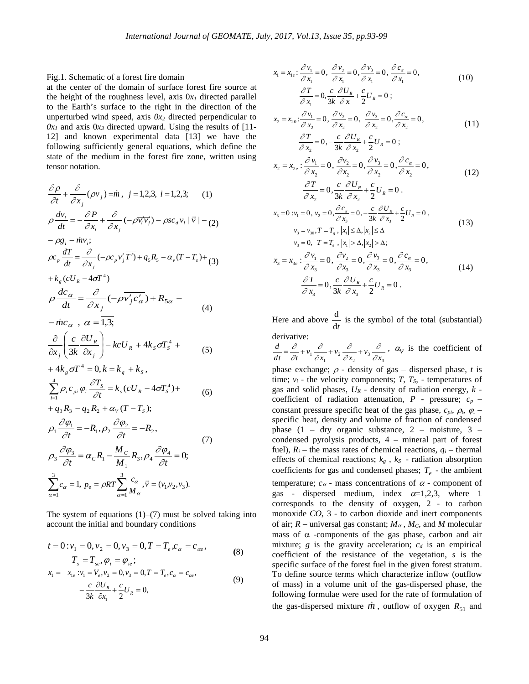Fig.1. Schematic of a forest fire domain

at the center of the domain of surface forest fire source at the height of the roughness level, axis  $0x_1$  directed parallel to the Earth's surface to the right in the direction of the unperturbed wind speed, axis  $0x_2$  directed perpendicular to  $0x_1$  and axis  $0x_3$  directed upward. Using the results of [11-12] and known experimental data [13] we have the following sufficiently general equations, which define the state of the medium in the forest fire zone, written using tensor notation.

$$
\frac{\partial \rho}{\partial t} + \frac{\partial}{\partial x_j} (\rho v_j) = \dot{m}, \ j = 1, 2, 3, \ i = 1, 2, 3; \ (1)
$$
\n
$$
\rho \frac{dv_i}{dt} = -\frac{\partial P}{\partial x_i} + \frac{\partial}{\partial x_j} (-\rho \overline{v_i v_j}) - \rho s c_d v_i | \overline{v} | - (2)
$$
\n
$$
- \rho g_i - \dot{m} v_i;
$$
\n
$$
\rho c_p \frac{dT}{dt} = \frac{\partial}{\partial x_j} (-\rho c_p v_j' \overline{T}) + q_s R_s - \alpha_v (T - T_s) + (3)
$$
\n
$$
+ k_s (c U_R - 4\sigma T^4)
$$
\n
$$
\rho \frac{dc_\alpha}{dt} = \frac{\partial}{\partial x_j} (-\rho \overline{v_j' c_\alpha'}) + R_{5\alpha} - (4)
$$
\n
$$
- \dot{m} c_\alpha , \alpha = \overline{1, 3};
$$
\n
$$
\frac{\partial}{\partial x_j} \left( \frac{c}{3k} \frac{\partial U_R}{\partial x_j} \right) - k c U_R + 4k_s \sigma T_s^4 + (5)
$$
\n
$$
+ 4k_g \sigma T^4 = 0, k = k_g + k_s,
$$
\n
$$
+ 4k_g \sigma T^4 = 0, k = k_g + k_s,
$$
\n
$$
+ q_s R_s - q_2 R_s + \alpha_v (T - T_s);
$$
\n
$$
\rho_1 \frac{\partial \phi_1}{\partial t} = -R_1, \rho_2 \frac{\partial \phi_2}{\partial t} = -R_2,
$$
\n
$$
\rho_3 \frac{\partial \phi_3}{\partial t} = \alpha_c R_1 - \frac{M_c}{M_1} R_3, \rho_4 \frac{\partial \phi_4}{\partial t} = 0;
$$
\n
$$
\sum_{\alpha=1}^3 c_\alpha = 1, \ p_e = \rho R T \sum_{\alpha=1}^3 \frac{c_\alpha}{M_\alpha}, \overline{v} = (v_1, v_2, v_3).
$$
\n(7)\n
$$
\frac{\partial \phi_3}{\partial t} = \alpha_c R_1 - \frac{M_c}{M_1} R_3, \rho_4 \frac{\partial \phi_4}{\partial t} = 0;
$$

The system of equations  $(1)$ – $(7)$  must be solved taking into account the initial and boundary conditions

 $\alpha = 1$ 

$$
t = 0: v_1 = 0, v_2 = 0, v_3 = 0, T = T_e, c_\alpha = c_{\alpha e},
$$
  
\n
$$
T_s = T_{se}, \varphi_i = \varphi_{ie};
$$
\n(8)

$$
x_1 = -x_{1e} : v_1 = V_e, v_2 = 0, v_3 = 0, T = T_e, c_\alpha = c_\alpha, -\frac{c}{3k} \frac{\partial U_R}{\partial x_1} + \frac{c}{2} U_R = 0,
$$
 (9)

$$
x_1 = x_{1e} : \frac{\partial v_1}{\partial x_1} = 0, \frac{\partial v_2}{\partial x_1} = 0, \frac{\partial v_3}{\partial x_1} = 0, \frac{\partial c_\alpha}{\partial x_1} = 0,
$$
\n
$$
\frac{\partial T}{\partial x_1} = 0, \frac{c}{3k} \frac{\partial U_R}{\partial x_1} + \frac{c}{2} U_R = 0 ;
$$
\n
$$
x_2 = x_{20} : \frac{\partial v_1}{\partial x_2} = 0, \frac{\partial v_2}{\partial x_2} = 0, \frac{\partial v_3}{\partial x_2} = 0, \frac{\partial c_\alpha}{\partial x_2} = 0,
$$
\n
$$
\frac{\partial T}{\partial x_2} = 0, -\frac{c}{3k} \frac{\partial U_R}{\partial x_2} + \frac{c}{2} U_R = 0 ;
$$
\n
$$
x_2 = x_{2e} : \frac{\partial v_1}{\partial x_2} = 0, \frac{\partial v_2}{\partial x_2} = 0, \frac{\partial v_3}{\partial x_2} = 0, \frac{\partial c_\alpha}{\partial x_2} = 0,
$$
\n
$$
\frac{\partial T}{\partial x_2} = 0, \frac{c}{3k} \frac{\partial U_R}{\partial x_2} + \frac{c}{2} U_R = 0 .
$$
\n
$$
x_3 = 0 : v_1 = 0, v_2 = 0, \frac{\partial c_\alpha}{\partial x_3} = 0, -\frac{c}{3k} \frac{\partial U_R}{\partial x_3} + \frac{c}{2} U_R = 0 ,
$$
\n
$$
v_3 = v_{30} : T = T_g, |x_1| \le \Delta, |x_2| \le \Delta
$$
\n
$$
v_3 = 0, T = T_e, |x_1| > \Delta, |x_2| > \Delta; \quad v_3 = 0, T = T_e, |x_1| > \Delta, |x_2| > \Delta; \quad x_3 = 0, T = T_e, |x_1| > \Delta, |x_2| > \Delta; \quad x_4 = x. \quad : \frac{\partial v_1}{\partial x_2} = 0, \frac{\partial v_2}{\partial x_2} = 0, \frac{\partial v_3}{\partial x_3} = 0.
$$
\n(13)

$$
x_3 = x_{3e} : \frac{\partial v_1}{\partial x_3} = 0, \frac{\partial v_2}{\partial x_3} = 0, \frac{\partial v_3}{\partial x_3} = 0, \frac{\partial c_\alpha}{\partial x_3} = 0,
$$
  

$$
\frac{\partial T}{\partial x_3} = 0, \frac{c}{3k} \frac{\partial U_R}{\partial x_3} + \frac{c}{2} U_R = 0.
$$
 (14)

Here and above  $\frac{d}{dt}$  $\frac{d}{dx}$  is the symbol of the total (substantial) derivative:

 $\frac{d}{dt} = \frac{\partial}{\partial t} + v_1 \frac{\partial}{\partial x_1} + v_2 \frac{\partial}{\partial x_2} + v_3 \frac{\partial}{\partial x_3}$ ∂ ∂ ∂ ∂ ∂ ∂  $=\frac{\partial}{\partial t}+v_1\frac{\partial}{\partial x_1}+v_2\frac{\partial}{\partial x_2}+v_3\frac{\partial}{\partial x_3}$ ,  $\alpha_v$  is the coefficient of

phase exchange;  $\rho$  - density of gas – dispersed phase, *t* is time;  $v_i$  - the velocity components;  $T$ ,  $T_s$ , - temperatures of gas and solid phases, *UR* - density of radiation energy, *k*  coefficient of radiation attenuation, *P* - pressure; *cp* – constant pressure specific heat of the gas phase,  $c_{pi}$ ,  $\varphi_i$ ,  $\varphi_i$  – specific heat, density and volume of fraction of condensed phase  $(1 - dry)$  organic substance,  $2 - m$  moisture,  $3$ condensed pyrolysis products, 4 – mineral part of forest fuel),  $R_i$  – the mass rates of chemical reactions,  $q_i$  – thermal effects of chemical reactions;  $k_g$ ,  $k_S$  - radiation absorption coefficients for gas and condensed phases;  $T_e$  - the ambient temperature;  $c_{\alpha}$  - mass concentrations of  $\alpha$  - component of gas - dispersed medium, index  $\alpha=1,2,3$ , where 1 corresponds to the density of oxygen, 2 - to carbon monoxide *CO*, 3 - to carbon dioxide and inert components of air; *R –* universal gas constant; *M*<sup>α</sup> *, MC,* and *M* molecular mass of  $\alpha$  -components of the gas phase, carbon and air mixture;  $g$  is the gravity acceleration;  $c_d$  is an empirical coefficient of the resistance of the vegetation, *s* is the specific surface of the forest fuel in the given forest stratum. To define source terms which characterize inflow (outflow of mass) in a volume unit of the gas-dispersed phase, the following formulae were used for the rate of formulation of the gas-dispersed mixture  $\dot{m}$ , outflow of oxygen  $R_{51}$  and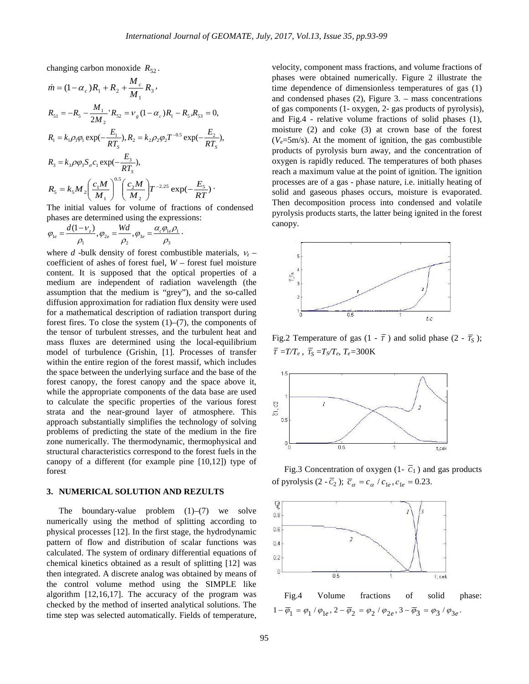changing carbon monoxide  $R_{52}$ .

$$
\dot{m} = (1 - \alpha_c)R_1 + R_2 + \frac{M_c}{M_1}R_3,
$$
\n
$$
R_{51} = -R_5 - \frac{M_1}{2M_2}R_5 = V_g(1 - \alpha_c)R_1 - R_5, R_{53} = 0,
$$
\n
$$
R_1 = k_1 \rho_1 \rho_1 \exp(-\frac{E_1}{RT_s}), R_2 = k_2 \rho_2 \rho_2 T^{-0.5} \exp(-\frac{E_2}{RT_s}),
$$
\n
$$
R_3 = k_3 \rho \rho_3 S_\sigma c_1 \exp(-\frac{E_3}{RT_s}),
$$
\n
$$
R_5 = k_5 M_2 \left(\frac{c_1 M}{M_1}\right)^{0.5} \left(\frac{c_2 M}{M_2}\right) T^{-2.25} \exp(-\frac{E_5}{RT})
$$

The initial values for volume of fractions of condensed phases are determined using the expressions:

$$
\varphi_{1e} = \frac{d(1-\nu_z)}{\rho_1}, \varphi_{2e} = \frac{Wd}{\rho_2}, \varphi_{3e} = \frac{\alpha_c \varphi_{1e} \rho_1}{\rho_3}.
$$

where *d* -bulk density of forest combustible materials,  $v_z$  – coefficient of ashes of forest fuel, *W* – forest fuel moisture content. It is supposed that the optical properties of a medium are independent of radiation wavelength (the assumption that the medium is "grey"), and the so-called diffusion approximation for radiation flux density were used for a mathematical description of radiation transport during forest fires. To close the system  $(1)$ – $(7)$ , the components of the tensor of turbulent stresses, and the turbulent heat and mass fluxes are determined using the local-equilibrium model of turbulence (Grishin, [1]. Processes of transfer within the entire region of the forest massif, which includes the space between the underlying surface and the base of the forest canopy, the forest canopy and the space above it, while the appropriate components of the data base are used to calculate the specific properties of the various forest strata and the near-ground layer of atmosphere. This approach substantially simplifies the technology of solving problems of predicting the state of the medium in the fire zone numerically. The thermodynamic, thermophysical and structural characteristics correspond to the forest fuels in the canopy of a different (for example pine [10,12]) type of forest

### **3. NUMERICAL SOLUTION AND REZULTS**

The boundary-value problem  $(1)$ – $(7)$  we solve numerically using the method of splitting according to physical processes [12]. In the first stage, the hydrodynamic pattern of flow and distribution of scalar functions was calculated. The system of ordinary differential equations of chemical kinetics obtained as a result of splitting [12] was then integrated. A discrete analog was obtained by means of the control volume method using the SIMPLE like algorithm [12,16,17]. The accuracy of the program was checked by the method of inserted analytical solutions. The time step was selected automatically. Fields of temperature, velocity, component mass fractions, and volume fractions of phases were obtained numerically. Figure 2 illustrate the time dependence of dimensionless temperatures of gas (1) and condensed phases (2), Figure 3. – mass concentrations of gas components (1- oxygen, 2- gas products of pyrolysis), and Fig.4 - relative volume fractions of solid phases (1), moisture (2) and coke (3) at crown base of the forest  $(V_e=5m/s)$ . At the moment of ignition, the gas combustible products of pyrolysis burn away, and the concentration of oxygen is rapidly reduced. The temperatures of both phases reach a maximum value at the point of ignition. The ignition processes are of a gas - phase nature, i.e. initially heating of solid and gaseous phases occurs, moisture is evaporated. Then decomposition process into condensed and volatile pyrolysis products starts, the latter being ignited in the forest canopy.



Fig.2 Temperature of gas  $(1 - \overline{T})$  and solid phase  $(2 - \overline{T}_{S})$ ;  $\overline{T}$  =*T/T<sub>e</sub>*,  $\overline{T_S}$  =*T<sub>S</sub>/T<sub>e</sub>*, *T<sub>e</sub>*=300K



Fig.3 Concentration of oxygen  $(1 - \overline{C_1})$  and gas products of pyrolysis  $(2 - \overline{C_2})$ ;  $\overline{c}_\alpha = c_\alpha / c_{1e}, c_{1e} = 0.23$ .



Fig.4 Volume fractions of solid phase:  $1 - \overline{\varphi}_1 = \varphi_1 / \varphi_{1e}, 2 - \overline{\varphi}_2 = \varphi_2 / \varphi_{2e}, 3 - \overline{\varphi}_3 = \varphi_3 / \varphi_{3e}.$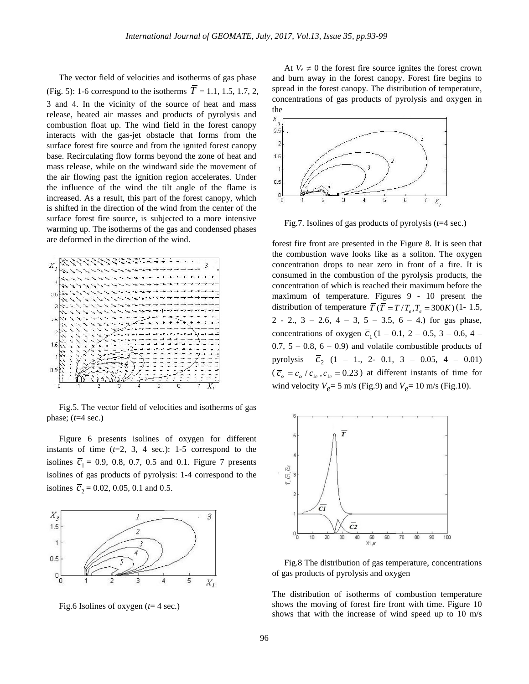The vector field of velocities and isotherms of gas phase (Fig. 5): 1-6 correspond to the isotherms  $T = 1.1, 1.5, 1.7, 2$ , 3 and 4. In the vicinity of the source of heat and mass release, heated air masses and products of pyrolysis and combustion float up. The wind field in the forest canopy interacts with the gas-jet obstacle that forms from the surface forest fire source and from the ignited forest canopy base. Recirculating flow forms beyond the zone of heat and mass release, while on the windward side the movement of the air flowing past the ignition region accelerates. Under the influence of the wind the tilt angle of the flame is increased. As a result, this part of the forest canopy, which is shifted in the direction of the wind from the center of the surface forest fire source, is subjected to a more intensive warming up. The isotherms of the gas and condensed phases are deformed in the direction of the wind.



Fig.5. The vector field of velocities and isotherms of gas phase; (*t*=4 sec.)

Figure 6 presents isolines of oxygen for different instants of time  $(t=2, 3, 4 \text{ sec.})$ : 1-5 correspond to the isolines  $\bar{c}_1 = 0.9, 0.8, 0.7, 0.5$  and 0.1. Figure 7 presents isolines of gas products of pyrolysis: 1-4 correspond to the isolines  $\overline{c}_2 = 0.02, 0.05, 0.1$  and 0.5.



Fig.6 Isolines of oxygen (*t*= 4 sec.)

At  $V_e \neq 0$  the forest fire source ignites the forest crown and burn away in the forest canopy. Forest fire begins to spread in the forest canopy. The distribution of temperature, concentrations of gas products of pyrolysis and oxygen in the



Fig.7. Isolines of gas products of pyrolysis (*t*=4 sec.)

forest fire front are presented in the Figure 8. It is seen that the combustion wave looks like as a soliton. The oxygen concentration drops to near zero in front of a fire. It is consumed in the combustion of the pyrolysis products, the concentration of which is reached their maximum before the maximum of temperature. Figures 9 - 10 present the distribution of temperature  $\overline{T}(\overline{T} = T/T_e, T_e = 300K)$  (1- 1.5, 2 - 2.,  $3 - 2.6$ ,  $4 - 3$ ,  $5 - 3.5$ ,  $6 - 4$ .) for gas phase, concentrations of oxygen  $\overline{c}_1$  (1 – 0.1, 2 – 0.5, 3 – 0.6, 4 –  $0.7, 5 - 0.8, 6 - 0.9$  and volatile combustible products of pyrolysis  $\overline{c}_2$  (1 – 1., 2- 0.1, 3 – 0.05, 4 – 0.01)  $(\overline{c}_a = c_\alpha / c_{1e}, c_{1e} = 0.23)$  at different instants of time for wind velocity  $V_{e}$ = 5 m/s (Fig.9) and  $V_{e}$ = 10 m/s (Fig.10).



Fig.8 The distribution of gas temperature, concentrations of gas products of pyrolysis and oxygen

The distribution of isotherms of combustion temperature shows the moving of forest fire front with time. Figure 10 shows that with the increase of wind speed up to 10 m/s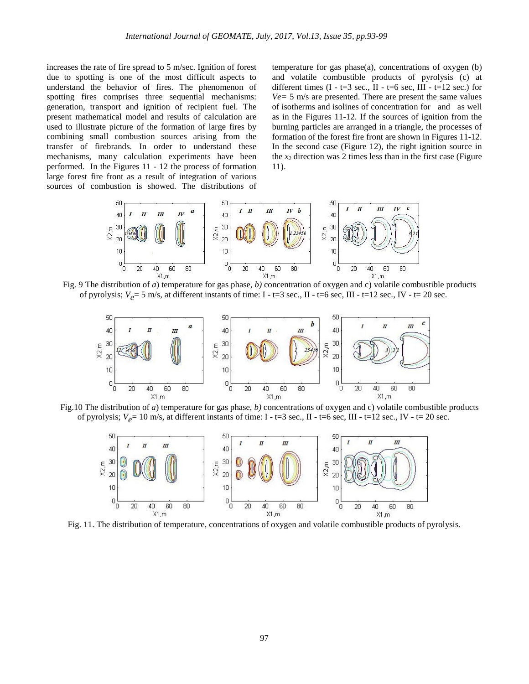increases the rate of fire spread to 5 m/sec. Ignition of forest due to spotting is one of the most difficult aspects to understand the behavior of fires. The phenomenon of spotting fires comprises three sequential mechanisms: generation, transport and ignition of recipient fuel. The present mathematical model and results of calculation are used to illustrate picture of the formation of large fires by combining small combustion sources arising from the transfer of firebrands. In order to understand these mechanisms, many calculation experiments have been performed. In the Figures 11 - 12 the process of formation large forest fire front as a result of integration of various sources of combustion is showed. The distributions of temperature for gas phase(a), concentrations of oxygen (b) and volatile combustible products of pyrolysis (c) at different times  $(I - t = 3 \text{ sec.}, II - t = 6 \text{ sec.} III - t = 12 \text{ sec.})$  for *Ve=* 5 m/s are presented. There are present the same values of isotherms and isolines of concentration for and as well as in the Figures 11-12. If the sources of ignition from the burning particles are arranged in a triangle, the processes of formation of the forest fire front are shown in Figures 11-12. In the second case (Figure 12), the right ignition source in the *x2* direction was 2 times less than in the first case (Figure 11).







Fig.10 The distribution of *a*) temperature for gas phase, *b)* concentrations of oxygen and c) volatile combustible products of pyrolysis;  $V_e$  = 10 m/s, at different instants of time: I - t=3 sec., II - t=6 sec, III - t=12 sec., IV - t= 20 sec.



Fig. 11. The distribution of temperature, concentrations of oxygen and volatile combustible products of pyrolysis.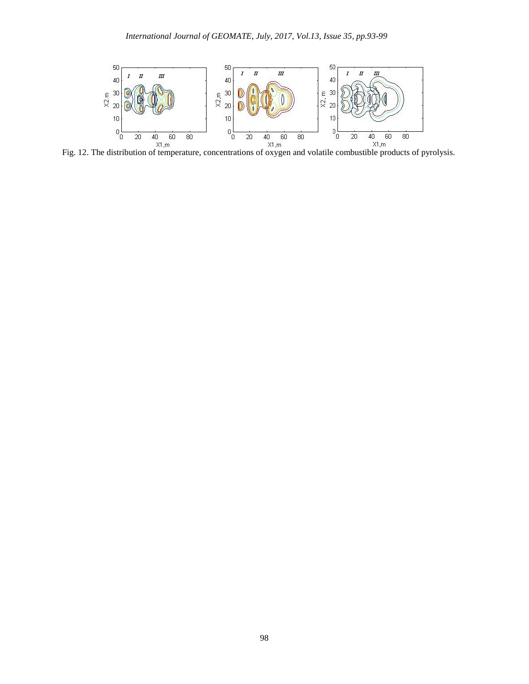